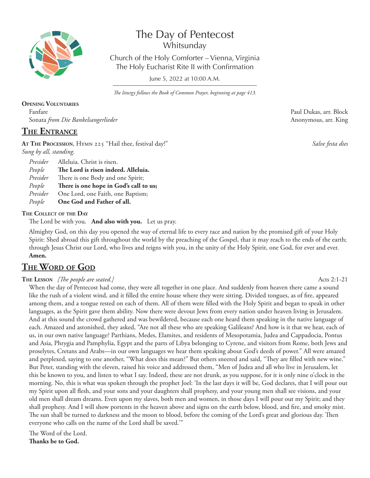

# The Day of Pentecost Whitsunday

Church of the Holy Comforter – Vienna, Virginia The Holy Eucharist Rite II with Confirmation

June 5, 2022 at 10:00 A.M.

*The liturgy follows the Book of Common Prayer, beginning at page 413.*

**Opening Voluntaries** Fanfare Paul Dukas, arr. Block Sonata *from Die Bankelsangerlieder* Anonymous, arr. King

# **The Entrance**

**At The Procession**, Hymn 225 "Hail thee, festival day!" *Salve festa dies Sung by all, standing.*

| Presider | Alleluia. Christ is risen.             |
|----------|----------------------------------------|
| People   | The Lord is risen indeed. Alleluia.    |
| Presider | There is one Body and one Spirit;      |
| People   | There is one hope in God's call to us; |
| Presider | One Lord, one Faith, one Baptism;      |
| People   | One God and Father of all.             |

## **The Collect of the Day**

The Lord be with you. **And also with you.** Let us pray.

Almighty God, on this day you opened the way of eternal life to every race and nation by the promised gift of your Holy Spirit: Shed abroad this gift throughout the world by the preaching of the Gospel, that it may reach to the ends of the earth; through Jesus Christ our Lord, who lives and reigns with you, in the unity of the Holy Spirit, one God, for ever and ever. **Amen***.*

# **The Word of God**

# **The Lesson** *[The people are seated.]* Acts 2:1-21

When the day of Pentecost had come, they were all together in one place. And suddenly from heaven there came a sound like the rush of a violent wind, and it filled the entire house where they were sitting. Divided tongues, as of fire, appeared among them, and a tongue rested on each of them. All of them were filled with the Holy Spirit and began to speak in other languages, as the Spirit gave them ability. Now there were devout Jews from every nation under heaven living in Jerusalem. And at this sound the crowd gathered and was bewildered, because each one heard them speaking in the native language of each. Amazed and astonished, they asked, "Are not all these who are speaking Galileans? And how is it that we hear, each of us, in our own native language? Parthians, Medes, Elamites, and residents of Mesopotamia, Judea and Cappadocia, Pontus and Asia, Phrygia and Pamphylia, Egypt and the parts of Libya belonging to Cyrene, and visitors from Rome, both Jews and proselytes, Cretans and Arabs—in our own languages we hear them speaking about God's deeds of power." All were amazed and perplexed, saying to one another, "What does this mean?" But others sneered and said, "They are filled with new wine." But Peter, standing with the eleven, raised his voice and addressed them, "Men of Judea and all who live in Jerusalem, let this be known to you, and listen to what I say. Indeed, these are not drunk, as you suppose, for it is only nine o'clock in the morning. No, this is what was spoken through the prophet Joel: 'In the last days it will be, God declares, that I will pour out my Spirit upon all flesh, and your sons and your daughters shall prophesy, and your young men shall see visions, and your old men shall dream dreams. Even upon my slaves, both men and women, in those days I will pour out my Spirit; and they shall prophesy. And I will show portents in the heaven above and signs on the earth below, blood, and fire, and smoky mist. The sun shall be turned to darkness and the moon to blood, before the coming of the Lord's great and glorious day. Then everyone who calls on the name of the Lord shall be saved.'"

The Word of the Lord. **Thanks be to God.**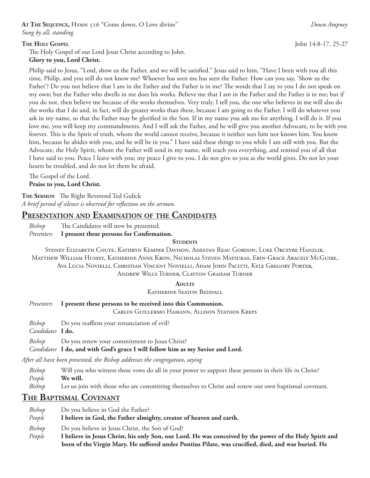## **At The Sequence,** Hymn 516 "Come down, O Love divine" *Down Ampney Sung by all, standing.*

The Holy Gospel of our Lord Jesus Christ according to John. **Glory to you, Lord Christ.**

## Philip said to Jesus, "Lord, show us the Father, and we will be satisfied." Jesus said to him, "Have I been with you all this time, Philip, and you still do not know me? Whoever has seen me has seen the Father. How can you say, 'Show us the Father'? Do you not believe that I am in the Father and the Father is in me? The words that I say to you I do not speak on my own; but the Father who dwells in me does his works. Believe me that I am in the Father and the Father is in me; but if you do not, then believe me because of the works themselves. Very truly, I tell you, the one who believes in me will also do the works that I do and, in fact, will do greater works than these, because I am going to the Father. I will do whatever you ask in my name, so that the Father may be glorified in the Son. If in my name you ask me for anything, I will do it. If you love me, you will keep my commandments. And I will ask the Father, and he will give you another Advocate, to be with you forever. This is the Spirit of truth, whom the world cannot receive, because it neither sees him nor knows him. You know him, because he abides with you, and he will be in you." I have said these things to you while I am still with you. But the Advocate, the Holy Spirit, whom the Father will send in my name, will teach you everything, and remind you of all that I have said to you. Peace I leave with you; my peace I give to you. I do not give to you as the world gives. Do not let your hearts be troubled, and do not let them be afraid.

The Gospel of the Lord.

**Praise to you, Lord Christ.**

**The Sermon** The Right Reverend Ted Gulick *A brief period of silence is observed for reflection on the sermon.*

# **Presentation and Examination of the Candidates**

*Bishop* The Candidates will now be presented.

### *Presenters* **I present these persons for Confirmation.**

#### **STUDENTS**

Sydney Elizabeth Coute, Kathryn Kemper Davison, Adestan Reau Gordon, Luke Orceyre Hanzlik, Matthew William Hussey, Katherine Anne Kron, Nicholas Steven Matsukas, Erin-Grace Aracely McGuire, Ava Lucia Novielli, Christian Vincent Novielli, Adam John Pacitti, Kyle Gregory Porter, Andrew Wills Turner, Clayton Graham Turner

**ADULTS** 

Katherine Seaton Beddall

|                  | Presenters I present these persons to be received into this Communion. |
|------------------|------------------------------------------------------------------------|
|                  | CARLOS GUILLERMO HAMANN, ALLISON STATHOS KREPS                         |
| Candidates I do. | <i>Bishop</i> Do you reaffirm your renunciation of evil?               |
|                  | <i>Bishop</i> Do you renew your commitment to Jesus Christ?            |

*Candidates* **I do, and with God's grace I will follow him as my Savior and Lord.**

*After all have been presented, the Bishop addresses the congregation, saying*

*Bishop* Will you who witness these vows do all in your power to support these persons in their life in Christ? *People* **We will.**

*Bishop* Let us join with those who are committing themselves to Christ and renew our own baptismal covenant.

# **The Baptismal Covenant**

*Bishop* Do you believe in God the Father?

*People* **I believe in God, the Father almighty, creator of heaven and earth.**

*Bishop* Do you believe in Jesus Christ, the Son of God?

*People* **I believe in Jesus Christ, his only Son, our Lord. He was conceived by the power of the Holy Spirit and born of the Virgin Mary. He suffered under Pontius Pilate, was crucified, died, and was buried. He** 

**The Holy Gospel** John 14:8-17, 25-27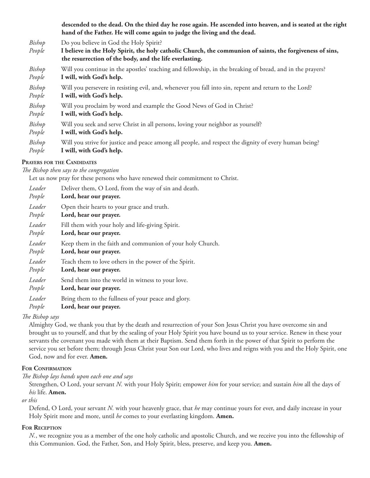**descended to the dead. On the third day he rose again. He ascended into heaven, and is seated at the right hand of the Father. He will come again to judge the living and the dead.**

*Bishop* Do you believe in God the Holy Spirit?

- *People* **I believe in the Holy Spirit, the holy catholic Church, the communion of saints, the forgiveness of sins, the resurrection of the body, and the life everlasting.**
- *Bishop* Will you continue in the apostles' teaching and fellowship, in the breaking of bread, and in the prayers? *People* **I will, with God's help.**
- *Bishop* Will you persevere in resisting evil, and, whenever you fall into sin, repent and return to the Lord? *People* **I will, with God's help.**
- *Bishop* Will you proclaim by word and example the Good News of God in Christ?
- *People* **I will, with God's help.**
- *Bishop* Will you seek and serve Christ in all persons, loving your neighbor as yourself?
- *People* **I will, with God's help.**
- *Bishop* Will you strive for justice and peace among all people, and respect the dignity of every human being? *People* **I will, with God's help.**

#### **Prayers for the Candidates**

*The Bishop then says to the congregation*

Let us now pray for these persons who have renewed their commitment to Christ.

| Leader | Deliver them, O Lord, from the way of sin and death.      |
|--------|-----------------------------------------------------------|
| People | Lord, hear our prayer.                                    |
| Leader | Open their hearts to your grace and truth.                |
| People | Lord, hear our prayer.                                    |
| Leader | Fill them with your holy and life-giving Spirit.          |
| People | Lord, hear our prayer.                                    |
| Leader | Keep them in the faith and communion of your holy Church. |
| People | Lord, hear our prayer.                                    |
| Leader | Teach them to love others in the power of the Spirit.     |
| People | Lord, hear our prayer.                                    |
| Leader | Send them into the world in witness to your love.         |
| People | Lord, hear our prayer.                                    |
| Leader | Bring them to the fullness of your peace and glory.       |
| People | Lord, hear our prayer.                                    |

#### *The Bishop says*

Almighty God, we thank you that by the death and resurrection of your Son Jesus Christ you have overcome sin and brought us to yourself, and that by the sealing of your Holy Spirit you have bound us to your service. Renew in these your servants the covenant you made with them at their Baptism. Send them forth in the power of that Spirit to perform the service you set before them; through Jesus Christ your Son our Lord, who lives and reigns with you and the Holy Spirit, one God, now and for ever. **Amen***.*

#### **For Confirmation**

*The Bishop lays hands upon each one and says*

Strengthen, O Lord, your servant *N.* with your Holy Spirit; empower *him* for your service; and sustain *him* all the days of *his* life. **Amen.**

*or this*

Defend, O Lord, your servant *N.* with your heavenly grace, that *he* may continue yours for ever, and daily increase in your Holy Spirit more and more, until *he* comes to your everlasting kingdom. **Amen.**

#### **For Reception**

*N.*, we recognize you as a member of the one holy catholic and apostolic Church, and we receive you into the fellowship of this Communion. God, the Father, Son, and Holy Spirit, bless, preserve, and keep you. **Amen.**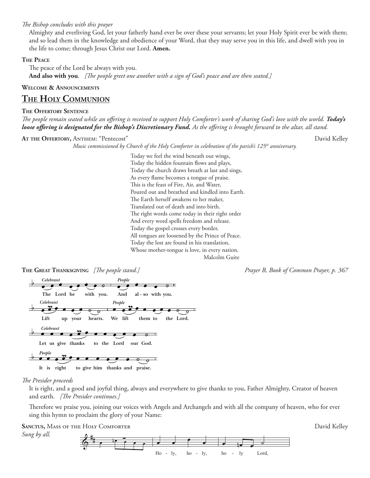#### *The Bishop concludes with this prayer*

Almighty and everliving God, let your fatherly hand ever be over these your servants; let your Holy Spirit ever be with them; and so lead them in the knowledge and obedience of your Word, that they may serve you in this life, and dwell with you in the life to come; through Jesus Christ our Lord. **Amen.**

#### **The Peace**

The peace of the Lord be always with you. **And also with you**. *[The people greet one another with a sign of God's peace and are then seated.]*

#### **Welcome & Announcements**

# **The Holy Communion**

#### **The Offertory Sentence**

*The people remain seated while an offering is received to support Holy Comforter's work of sharing God's love with the world. Today's loose offering is designated for the Bishop's Discretionary Fund. As the offering is brought forward to the altar, all stand.*

#### **At the Offertory,** Anthem: "Pentecost" David Kelley

*Music commissioned by Church of the Holy Comforter in celebration of the parish's 125th anniversary.*

Today we feel the wind beneath our wings, Today the hidden fountain flows and plays, Today the church draws breath at last and sings, As every flame becomes a tongue of praise. This is the feast of Fire, Air, and Water, Poured out and breathed and kindled into Earth. The Earth herself awakens to her maker, Translated out of death and into birth. The right words come today in their right order And every word spells freedom and release. Today the gospel crosses every border, All tongues are loosened by the Prince of Peace. Today the lost are found in his translation, Whose mother-tongue is love, in every nation. Malcolm Guite





*The Presider proceeds*

*Sung by all.*

It is right, and a good and joyful thing, always and everywhere to give thanks to you, Father Almighty, Creator of heaven and earth. *[The Presider continues.]*

Therefore we praise you, joining our voices with Angels and Archangels and with all the company of heaven, who for ever sing this hymn to proclaim the glory of your Name:

**SANCTUS,** MASS OF THE HOLY COMFORTER **DAVID RESOLUTE:** David Kelley

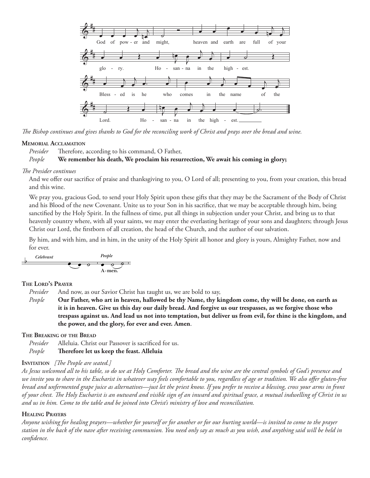

*The Bishop continues and gives thanks to God for the reconciling work of Christ and prays over the bread and wine.*

#### **Memorial Acclamation**

*Presider* Therefore, according to his command, O Father,

#### *People* **We remember his death, We proclaim his resurrection, We await his coming in glory;**

#### *The Presider continues*

And we offer our sacrifice of praise and thanksgiving to you, O Lord of all; presenting to you, from your creation, this bread and this wine.

We pray you, gracious God, to send your Holy Spirit upon these gifts that they may be the Sacrament of the Body of Christ and his Blood of the new Covenant. Unite us to your Son in his sacrifice, that we may be acceptable through him, being sanctified by the Holy Spirit. In the fullness of time, put all things in subjection under your Christ, and bring us to that heavenly country where, with all your saints, we may enter the everlasting heritage of your sons and daughters; through Jesus Christ our Lord, the firstborn of all creation, the head of the Church, and the author of our salvation.

By him, and with him, and in him, in the unity of the Holy Spirit all honor and glory is yours, Almighty Father, now and for ever.

<sup>b</sup> œ œ ˙ œ ˙ ˙ A -men. *Celebrant People*

#### **The Lord's Prayer**

*Presider* And now, as our Savior Christ has taught us, we are bold to say,

*People* **Our Father, who art in heaven, hallowed be thy Name, thy kingdom come, thy will be done, on earth as it is in heaven. Give us this day our daily bread. And forgive us our trespasses, as we forgive those who trespass against us. And lead us not into temptation, but deliver us from evil, for thine is the kingdom, and the power, and the glory, for ever and ever. Amen**.

#### **The Breaking of the Bread**

*Presider* Alleluia. Christ our Passover is sacrificed for us.

#### *People* **Therefore let us keep the feast. Alleluia**

#### **Invitation** *[The People are seated.]*

*As Jesus welcomed all to his table, so do we at Holy Comforter. The bread and the wine are the central symbols of God's presence and we invite you to share in the Eucharist in whatever way feels comfortable to you, regardless of age or tradition. We also offer gluten-free bread and unfermented grape juice as alternatives—just let the priest know. If you prefer to receive a blessing, cross your arms in front of your chest. The Holy Eucharist is an outward and visible sign of an inward and spiritual grace, a mutual indwelling of Christ in us and us in him. Come to the table and be joined into Christ's ministry of love and reconciliation.*

#### **Healing Prayers**

*Anyone wishing for healing prayers—whether for yourself or for another or for our hurting world—is invited to come to the prayer station in the back of the nave after receiving communion. You need only say as much as you wish, and anything said will be held in confidence.*